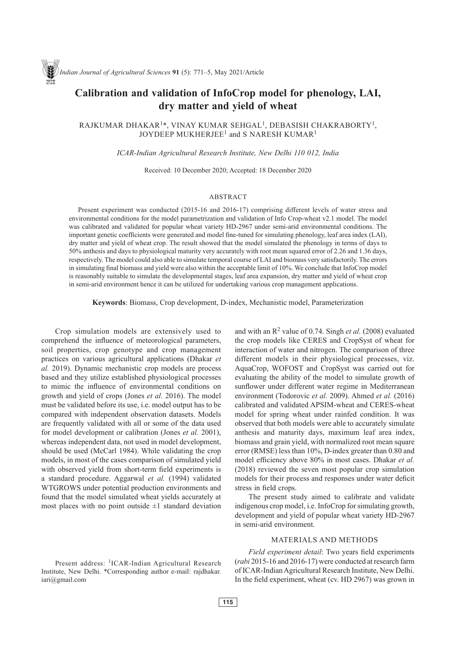# **Calibration and validation of InfoCrop model for phenology, LAI, dry matter and yield of wheat**

RAJKUMAR DHAKAR1\*, VINAY KUMAR SEHGAL1, DEBASISH CHAKRABORTY1, JOYDEEP MUKHERJEE<sup>1</sup> and S NARESH KUMAR<sup>1</sup>

*ICAR-Indian Agricultural Research Institute, New Delhi 110 012, India*

Received: 10 December 2020; Accepted: 18 December 2020

### ABSTRACT

Present experiment was conducted (2015-16 and 2016-17) comprising different levels of water stress and environmental conditions for the model parametrization and validation of Info Crop-wheat v2.1 model. The model was calibrated and validated for popular wheat variety HD-2967 under semi-arid environmental conditions. The important genetic coefficients were generated and model fine-tuned for simulating phenology, leaf area index (LAI), dry matter and yield of wheat crop. The result showed that the model simulated the phenology in terms of days to 50% anthesis and days to physiological maturity very accurately with root mean squared error of 2.26 and 1.36 days, respectively. The model could also able to simulate temporal course of LAI and biomass very satisfactorily. The errors in simulating final biomass and yield were also within the acceptable limit of 10%. We conclude that InfoCrop model is reasonably suitable to simulate the developmental stages, leaf area expansion, dry matter and yield of wheat crop in semi-arid environment hence it can be utilized for undertaking various crop management applications.

**Keywords**: Biomass, Crop development, D-index, Mechanistic model, Parameterization

Crop simulation models are extensively used to comprehend the influence of meteorological parameters, soil properties, crop genotype and crop management practices on various agricultural applications (Dhakar *et al.* 2019). Dynamic mechanistic crop models are process based and they utilize established physiological processes to mimic the influence of environmental conditions on growth and yield of crops (Jones *et al.* 2016). The model must be validated before its use, i.e. model output has to be compared with independent observation datasets. Models are frequently validated with all or some of the data used for model development or calibration (Jones *et al.* 2001), whereas independent data, not used in model development, should be used (McCarl 1984). While validating the crop models, in most of the cases comparison of simulated yield with observed yield from short-term field experiments is a standard procedure. Aggarwal *et al.* (1994) validated WTGROWS under potential production environments and found that the model simulated wheat yields accurately at most places with no point outside  $\pm 1$  standard deviation and with an  $\mathbb{R}^2$  value of 0.74. Singh *et al.* (2008) evaluated the crop models like CERES and CropSyst of wheat for interaction of water and nitrogen. The comparison of three different models in their physiological processes, viz. AquaCrop, WOFOST and CropSyst was carried out for evaluating the ability of the model to simulate growth of sunflower under different water regime in Mediterranean environment (Todorovic *et al.* 2009). Ahmed *et al.* (2016) calibrated and validated APSIM-wheat and CERES-wheat model for spring wheat under rainfed condition. It was observed that both models were able to accurately simulate anthesis and maturity days, maximum leaf area index, biomass and grain yield, with normalized root mean square error (RMSE) less than 10%, D-index greater than 0.80 and model efficiency above 80% in most cases. Dhakar *et al.* (2018) reviewed the seven most popular crop simulation models for their process and responses under water deficit stress in field crops.

The present study aimed to calibrate and validate indigenous crop model, i.e. InfoCrop for simulating growth, development and yield of popular wheat variety HD-2967 in semi-arid environment.

# MATERIALS AND METHODS

*Field experiment detail*: Two years field experiments (*rabi* 2015-16 and 2016-17) were conducted at research farm of ICAR-Indian Agricultural Research Institute, New Delhi. In the field experiment, wheat (cv. HD 2967) was grown in

Present address: <sup>1</sup>ICAR-Indian Agricultural Research Institute, New Delhi. \*Corresponding author e-mail: rajdhakar. iari@gmail.com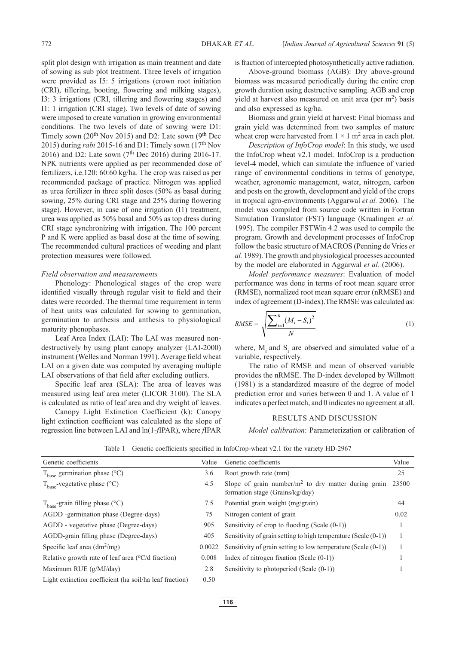split plot design with irrigation as main treatment and date of sowing as sub plot treatment. Three levels of irrigation were provided as I5: 5 irrigations (crown root initiation (CRI), tillering, booting, flowering and milking stages), I3: 3 irrigations (CRI, tillering and flowering stages) and I1: 1 irrigation (CRI stage). Two levels of date of sowing were imposed to create variation in growing environmental conditions. The two levels of date of sowing were D1: Timely sown ( $20^{th}$  Nov 2015) and D2: Late sown ( $9^{th}$  Dec 2015) during *rabi* 2015-16 and D1: Timely sown (17th Nov 2016) and D2: Late sown ( $7<sup>th</sup>$  Dec 2016) during 2016-17. NPK nutrients were applied as per recommended dose of fertilizers, i.e.120: 60:60 kg/ha. The crop was raised as per recommended package of practice. Nitrogen was applied as urea fertilizer in three split doses (50% as basal during sowing, 25% during CRI stage and 25% during flowering stage). However, in case of one irrigation (I1) treatment, urea was applied as 50% basal and 50% as top dress during CRI stage synchronizing with irrigation. The 100 percent P and K were applied as basal dose at the time of sowing. The recommended cultural practices of weeding and plant protection measures were followed.

#### *Field observation and measurements*

Phenology: Phenological stages of the crop were identified visually through regular visit to field and their dates were recorded. The thermal time requirement in term of heat units was calculated for sowing to germination, germination to anthesis and anthesis to physiological maturity phenophases.

Leaf Area Index (LAI): The LAI was measured nondestructively by using plant canopy analyzer (LAI-2000) instrument (Welles and Norman 1991). Average field wheat LAI on a given date was computed by averaging multiple LAI observations of that field after excluding outliers.

Specific leaf area (SLA): The area of leaves was measured using leaf area meter (LICOR 3100). The SLA is calculated as ratio of leaf area and dry weight of leaves.

Canopy Light Extinction Coefficient (k): Canopy light extinction coefficient was calculated as the slope of regression line between LAI and ln(1-*f*IPAR), where *f*IPAR

is fraction of intercepted photosynthetically active radiation.

Above-ground biomass (AGB): Dry above-ground biomass was measured periodically during the entire crop growth duration using destructive sampling. AGB and crop vield at harvest also measured on unit area (per  $m<sup>2</sup>$ ) basis and also expressed as kg/ha.

Biomass and grain yield at harvest: Final biomass and grain yield was determined from two samples of mature wheat crop were harvested from  $1 \times 1$  m<sup>2</sup> area in each plot.

*Description of InfoCrop model*: In this study, we used the InfoCrop wheat v2.1 model. InfoCrop is a production level-4 model, which can simulate the influence of varied range of environmental conditions in terms of genotype, weather, agronomic management, water, nitrogen, carbon and pests on the growth, development and yield of the crops in tropical agro-environments (Aggarwal *et al.* 2006). The model was compiled from source code written in Fortran Simulation Translator (FST) language (Kraalingen *et al.* 1995). The compiler FSTWin 4.2 was used to compile the program. Growth and development processes of InfoCrop follow the basic structure of MACROS (Penning de Vries *et al.* 1989). The growth and physiological processes accounted by the model are elaborated in Aggarwal *et al.* (2006).

*Model performance measures*: Evaluation of model performance was done in terms of root mean square error (RMSE), normalized root mean square error (nRMSE) and index of agreement (D-index).The RMSE was calculated as:

$$
RMSE = \sqrt{\frac{\sum_{i=1}^{n} (M_i - S_i)^2}{N}}
$$
(1)

where,  $M_i$  and  $S_i$  are observed and simulated value of a variable, respectively.

The ratio of RMSE and mean of observed variable provides the nRMSE. The D-index developed by Willmott (1981) is a standardized measure of the degree of model prediction error and varies between 0 and 1. A value of 1 indicates a perfect match, and 0 indicates no agreement at all.

#### RESULTS AND DISCUSSION

*Model calibration*: Parameterization or calibration of

| Genetic coefficients                                       | Value  | Genetic coefficients                                                                      | Value |
|------------------------------------------------------------|--------|-------------------------------------------------------------------------------------------|-------|
| $T_{base}$ germination phase (°C)                          | 3.6    | Root growth rate (mm)                                                                     | 25    |
| $T_{base}$ -vegetative phase (°C)                          | 4.5    | Slope of grain number/ $m2$ to dry matter during grain<br>formation stage (Grains/kg/day) | 23500 |
| $T_{base}$ -grain filling phase (°C)                       | 7.5    | Potential grain weight (mg/grain)                                                         | 44    |
| AGDD -germination phase (Degree-days)                      | 75     | Nitrogen content of grain                                                                 | 0.02  |
| AGDD - vegetative phase (Degree-days)                      | 905    | Sensitivity of crop to flooding (Scale $(0-1)$ )                                          |       |
| AGDD-grain filling phase (Degree-days)                     | 405    | Sensitivity of grain setting to high temperature (Scale $(0-1)$ )                         |       |
| Specific leaf area $(dm^2/mg)$                             | 0.0022 | Sensitivity of grain setting to low temperature (Scale $(0-1)$ )                          |       |
| Relative growth rate of leaf area $(^{\circ}C/d$ fraction) | 0.008  | Index of nitrogen fixation (Scale $(0-1)$ )                                               |       |
| Maximum RUE (g/MJ/day)                                     | 2.8    | Sensitivity to photoperiod (Scale $(0-1)$ )                                               |       |
| Light extinction coefficient (ha soil/ha leaf fraction)    | 0.50   |                                                                                           |       |

Table 1 Genetic coefficients specified in InfoCrop-wheat v2.1 for the variety HD-2967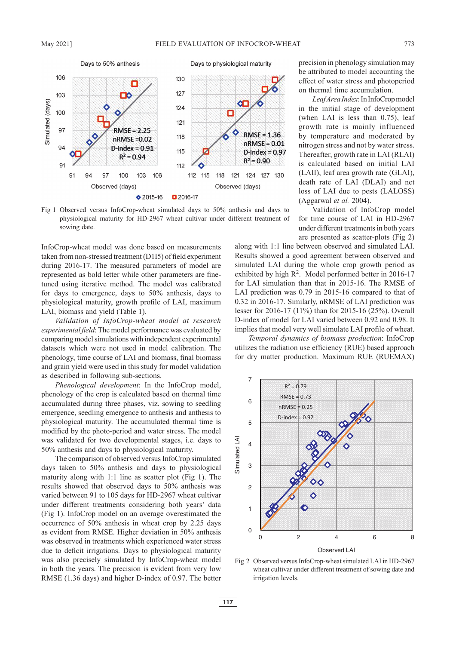

Fig 1 Observed versus InfoCrop-wheat simulated days to 50% anthesis and days to physiological maturity for HD-2967 wheat cultivar under different treatment of sowing date.

InfoCrop-wheat model was done based on measurements taken from non-stressed treatment (D1I5) of field experiment during 2016-17. The measured parameters of model are represented as bold letter while other parameters are finetuned using iterative method. The model was calibrated for days to emergence, days to 50% anthesis, days to physiological maturity, growth profile of LAI, maximum LAI, biomass and yield (Table 1).

*Validation of InfoCrop-wheat model at research experimental field*: The model performance was evaluated by comparing model simulations with independent experimental datasets which were not used in model calibration. The phenology, time course of LAI and biomass, final biomass and grain yield were used in this study for model validation as described in following sub-sections.

*Phenological development*: In the InfoCrop model, phenology of the crop is calculated based on thermal time accumulated during three phases, viz. sowing to seedling emergence, seedling emergence to anthesis and anthesis to physiological maturity. The accumulated thermal time is modified by the photo-period and water stress. The model was validated for two developmental stages, i.e. days to 50% anthesis and days to physiological maturity.

The comparison of observed versus InfoCrop simulated days taken to 50% anthesis and days to physiological maturity along with 1:1 line as scatter plot (Fig 1). The results showed that observed days to 50% anthesis was varied between 91 to 105 days for HD-2967 wheat cultivar under different treatments considering both years' data (Fig 1). InfoCrop model on an average overestimated the occurrence of 50% anthesis in wheat crop by 2.25 days as evident from RMSE. Higher deviation in 50% anthesis was observed in treatments which experienced water stress due to deficit irrigations. Days to physiological maturity was also precisely simulated by InfoCrop-wheat model in both the years. The precision is evident from very low RMSE (1.36 days) and higher D-index of 0.97. The better

precision in phenology simulation may be attributed to model accounting the effect of water stress and photoperiod on thermal time accumulation.

*Leaf Area Index*: In InfoCrop model in the initial stage of development (when LAI is less than 0.75), leaf growth rate is mainly influenced by temperature and moderated by nitrogen stress and not by water stress. Thereafter, growth rate in LAI (RLAI) is calculated based on initial LAI (LAII), leaf area growth rate (GLAI), death rate of LAI (DLAI) and net loss of LAI due to pests (LALOSS) (Aggarwal *et al.* 2004).

Validation of InfoCrop model for time course of LAI in HD-2967 under different treatments in both years are presented as scatter-plots (Fig 2)

along with 1:1 line between observed and simulated LAI. Results showed a good agreement between observed and simulated LAI during the whole crop growth period as exhibited by high  $\mathbb{R}^2$ . Model performed better in 2016-17 for LAI simulation than that in 2015-16. The RMSE of LAI prediction was 0.79 in 2015-16 compared to that of 0.32 in 2016-17. Similarly, nRMSE of LAI prediction was lesser for 2016-17 (11%) than for 2015-16 (25%). Overall D-index of model for LAI varied between 0.92 and 0.98. It implies that model very well simulate LAI profile of wheat.

*Temporal dynamics of biomass production*: InfoCrop utilizes the radiation use efficiency (RUE) based approach for dry matter production. Maximum RUE (RUEMAX)



Fig 2 Observed versus InfoCrop-wheat simulated LAI in HD-2967 wheat cultivar under different treatment of sowing date and irrigation levels.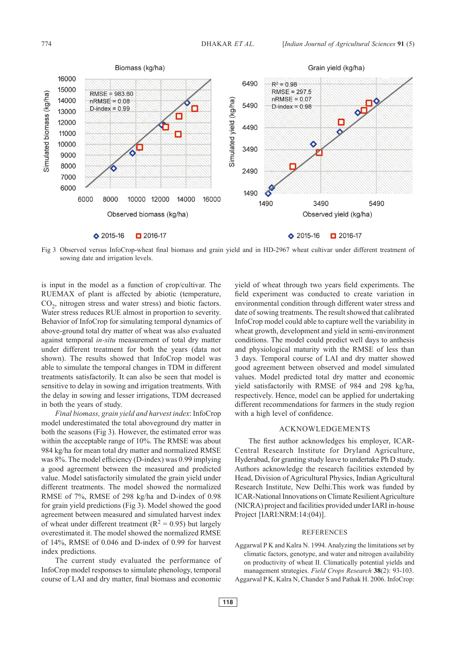

Fig 3 Observed versus InfoCrop-wheat final biomass and grain yield and in HD-2967 wheat cultivar under different treatment of sowing date and irrigation levels.

is input in the model as a function of crop/cultivar. The RUEMAX of plant is affected by abiotic (temperature,  $CO<sub>2</sub>$ , nitrogen stress and water stress) and biotic factors. Water stress reduces RUE almost in proportion to severity. Behavior of InfoCrop for simulating temporal dynamics of above-ground total dry matter of wheat was also evaluated against temporal *in-situ* measurement of total dry matter under different treatment for both the years (data not shown). The results showed that InfoCrop model was able to simulate the temporal changes in TDM in different treatments satisfactorily. It can also be seen that model is sensitive to delay in sowing and irrigation treatments. With the delay in sowing and lesser irrigations, TDM decreased in both the years of study.

*Final biomass, grain yield and harvest index*: InfoCrop model underestimated the total aboveground dry matter in both the seasons (Fig 3). However, the estimated error was within the acceptable range of 10%. The RMSE was about 984 kg/ha for mean total dry matter and normalized RMSE was 8%. The model efficiency (D-index) was 0.99 implying a good agreement between the measured and predicted value. Model satisfactorily simulated the grain yield under different treatments. The model showed the normalized RMSE of 7%, RMSE of 298 kg/ha and D-index of 0.98 for grain yield predictions (Fig 3). Model showed the good agreement between measured and simulated harvest index of wheat under different treatment ( $R^2 = 0.95$ ) but largely overestimated it. The model showed the normalized RMSE of 14%, RMSE of 0.046 and D-index of 0.99 for harvest index predictions.

The current study evaluated the performance of InfoCrop model responses to simulate phenology, temporal course of LAI and dry matter, final biomass and economic yield of wheat through two years field experiments. The field experiment was conducted to create variation in environmental condition through different water stress and date of sowing treatments. The result showed that calibrated InfoCrop model could able to capture well the variability in wheat growth, development and yield in semi-environment conditions. The model could predict well days to anthesis and physiological maturity with the RMSE of less than 3 days. Temporal course of LAI and dry matter showed good agreement between observed and model simulated values. Model predicted total dry matter and economic yield satisfactorily with RMSE of 984 and 298 kg/ha, respectively. Hence, model can be applied for undertaking different recommendations for farmers in the study region with a high level of confidence.

## ACKNOWLEDGEMENTS

The first author acknowledges his employer, ICAR-Central Research Institute for Dryland Agriculture, Hyderabad, for granting study leave to undertake Ph D study. Authors acknowledge the research facilities extended by Head, Division of Agricultural Physics, Indian Agricultural Research Institute, New Delhi.This work was funded by ICAR-National Innovations on Climate Resilient Agriculture (NICRA) project and facilities provided under IARI in-house Project [IARI:NRM:14:(04)].

#### REFERENCES

- Aggarwal P K and Kalra N. 1994. Analyzing the limitations set by climatic factors, genotype, and water and nitrogen availability on productivity of wheat II. Climatically potential yields and management strategies. *Field Crops Research* **38**(2): 93-103.
- Aggarwal P K, Kalra N, Chander S and Pathak H. 2006. InfoCrop: